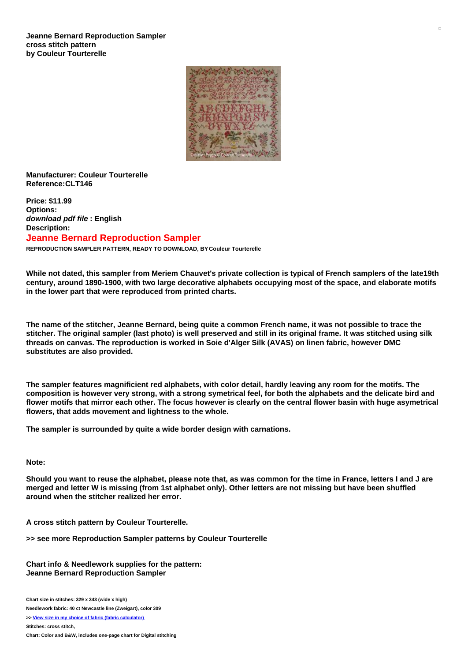

## **Manufacturer: Couleur Tourterelle Reference:CLT146**

**Price: \$11.99 Options:** *download pdf file* **: English Description: Jeanne Bernard Reproduction Sampler**

**REPRODUCTION SAMPLER PATTERN, READY TO DOWNLOAD, BY Couleur Tourterelle**

While not dated, this sampler from Meriem Chauvet's private collection is typical of French samplers of the late19th **century, around 1890-1900, with two large decorative alphabets occupying most of the space, and elaborate motifs in the lower part that were reproduced from printed charts.**

The name of the stitcher, Jeanne Bernard, being quite a common French name, it was not possible to trace the stitcher. The original sampler (last photo) is well preserved and still in its original frame. It was stitched using silk **threads on canvas. The reproduction is worked in Soie d'Alger Silk (AVAS) on linen fabric, however DMC substitutes are also provided.**

The sampler features magnificient red alphabets, with color detail, hardly leaving any room for the motifs. The composition is however very strong, with a strong symetrical feel, for both the alphabets and the delicate bird and flower motifs that mirror each other. The focus however is clearly on the central flower basin with huge asymetrical **flowers, that adds movement and lightness to the whole.**

**The sampler is surrounded by quite a wide border design with carnations.**

## **Note:**

Should you want to reuse the alphabet, please note that, as was common for the time in France, letters I and J are merged and letter W is missing (from 1st alphabet only). Other letters are not missing but have been shuffled **around when the stitcher realized her error.**

**A cross stitch pattern by Couleur Tourterelle.**

**>> see more Reproduction Sampler patterns by Couleur Tourterelle**

**Chart info & Needlework supplies for the pattern: Jeanne Bernard Reproduction Sampler**

**Chart size in stitches: 329 x 343 (wide x high)**

**Needlework fabric: 40 ct Newcastle line (Zweigart), color 309**

**>> View size in my choice of fabric (fabric [calculator\)](https://www.creativepoppypatterns.com/calculette-de-toile.php?products_id=&w=&h=)**

**Stitches: cross stitch,**

**Chart: Color and B&W, includes one-page chart for Digital stitching**